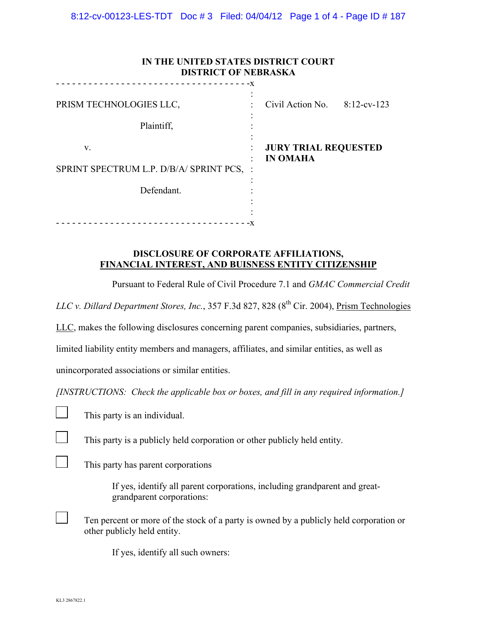8:12-cv-00123-LES-TDT Doc # 3 Filed: 04/04/12 Page 1 of 4 - Page ID # 187

| IN THE UNITED STATES DISTRICT COURT<br><b>DISTRICT OF NEBRASKA</b> |      |                                                |  |  |  |
|--------------------------------------------------------------------|------|------------------------------------------------|--|--|--|
| PRISM TECHNOLOGIES LLC,<br>Plaintiff,                              | $-X$ | Civil Action No. $8:12$ -cv-123                |  |  |  |
| V.<br>SPRINT SPECTRUM L.P. D/B/A/ SPRINT PCS,<br>Defendant.        |      | <b>JURY TRIAL REQUESTED</b><br><b>IN OMAHA</b> |  |  |  |

## **DISCLOSURE OF CORPORATE AFFILIATIONS, FINANCIAL INTEREST, AND BUISNESS ENTITY CITIZENSHIP**

Pursuant to Federal Rule of Civil Procedure 7.1 and *GMAC Commercial Credit* 

*LLC v. Dillard Department Stores, Inc.*, 357 F.3d 827, 828 (8<sup>th</sup> Cir. 2004), Prism Technologies

LLC, makes the following disclosures concerning parent companies, subsidiaries, partners,

limited liability entity members and managers, affiliates, and similar entities, as well as

unincorporated associations or similar entities.

*[INSTRUCTIONS: Check the applicable box or boxes, and fill in any required information.]*

This party is an individual.

This party is a publicly held corporation or other publicly held entity.

This party has parent corporations

If yes, identify all parent corporations, including grandparent and greatgrandparent corporations:

Ten percent or more of the stock of a party is owned by a publicly held corporation or other publicly held entity.

If yes, identify all such owners: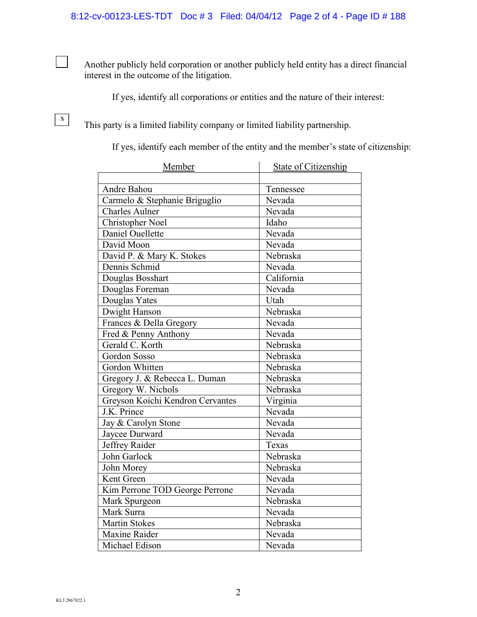Another publicly held corporation or another publicly held entity has a direct financial interest in the outcome of the litigation.

If yes, identify all corporations or entities and the nature of their interest:

This party is a limited liability company or limited liability partnership.

If yes, identify each member of the entity and the member's state of citizenship:

| Member                           | <b>State of Citizenship</b> |
|----------------------------------|-----------------------------|
|                                  |                             |
| Andre Bahou                      | Tennessee                   |
| Carmelo & Stephanie Briguglio    | Nevada                      |
| <b>Charles Aulner</b>            | Nevada                      |
| <b>Christopher Noel</b>          | Idaho                       |
| Daniel Ouellette                 | Nevada                      |
| David Moon                       | Nevada                      |
| David P. & Mary K. Stokes        | Nebraska                    |
| Dennis Schmid                    | Nevada                      |
| Douglas Bosshart                 | California                  |
| Douglas Foreman                  | Nevada                      |
| Douglas Yates                    | Utah                        |
| Dwight Hanson                    | Nebraska                    |
| Frances & Della Gregory          | Nevada                      |
| Fred & Penny Anthony             | Nevada                      |
| Gerald C. Korth                  | Nebraska                    |
| Gordon Sosso                     | Nebraska                    |
| Gordon Whitten                   | Nebraska                    |
| Gregory J. & Rebecca L. Duman    | Nebraska                    |
| Gregory W. Nichols               | Nebraska                    |
| Greyson Koichi Kendron Cervantes | Virginia                    |
| J.K. Prince                      | Nevada                      |
| Jay & Carolyn Stone              | Nevada                      |
| Jaycee Durward                   | Nevada                      |
| Jeffrey Raider                   | Texas                       |
| John Garlock                     | Nebraska                    |
| John Morey                       | Nebraska                    |
| Kent Green                       | Nevada                      |
| Kim Perrone TOD George Perrone   | Nevada                      |
| Mark Spurgeon                    | Nebraska                    |
| Mark Surra                       | Nevada                      |
| <b>Martin Stokes</b>             | Nebraska                    |
| Maxine Raider                    | Nevada                      |
| Michael Edison                   | Nevada                      |

 $\mathbf{1}$ 

 $\mathbf{X}$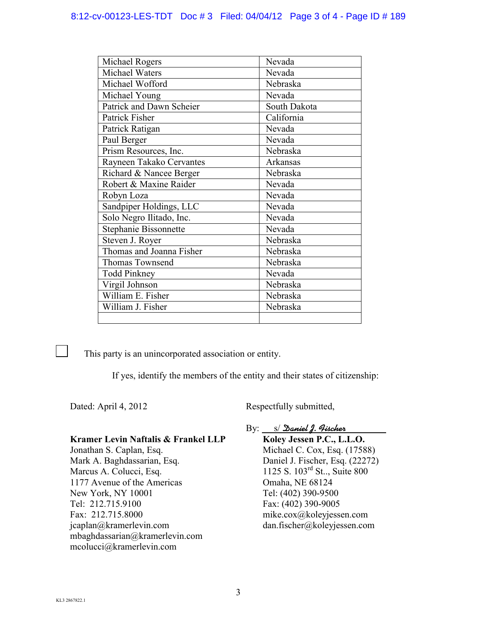# 8:12-cv-00123-LES-TDT Doc # 3 Filed: 04/04/12 Page 3 of 4 - Page ID # 189

| Michael Rogers           | Nevada       |
|--------------------------|--------------|
| Michael Waters           | Nevada       |
| Michael Wofford          | Nebraska     |
| Michael Young            | Nevada       |
| Patrick and Dawn Scheier | South Dakota |
| Patrick Fisher           | California   |
| Patrick Ratigan          | Nevada       |
| Paul Berger              | Nevada       |
| Prism Resources, Inc.    | Nebraska     |
| Rayneen Takako Cervantes | Arkansas     |
| Richard & Nancee Berger  | Nebraska     |
| Robert & Maxine Raider   | Nevada       |
| Robyn Loza               | Nevada       |
| Sandpiper Holdings, LLC  | Nevada       |
| Solo Negro Ilitado, Inc. | Nevada       |
| Stephanie Bissonnette    | Nevada       |
| Steven J. Royer          | Nebraska     |
| Thomas and Joanna Fisher | Nebraska     |
| Thomas Townsend          | Nebraska     |
| <b>Todd Pinkney</b>      | Nevada       |
| Virgil Johnson           | Nebraska     |
| William E. Fisher        | Nebraska     |
| William J. Fisher        | Nebraska     |
|                          |              |

This party is an unincorporated association or entity.

If yes, identify the members of the entity and their states of citizenship:

Dated: April 4, 2012 Respectfully submitted,

### **Kramer Levin Naftalis & Frankel LLP**

Jonathan S. Caplan, Esq. Mark A. Baghdassarian, Esq. Marcus A. Colucci, Esq. 1177 Avenue of the Americas New York, NY 10001 Tel: 212.715.9100 Fax: 212.715.8000 jcaplan@kramerlevin.com mbaghdassarian@kramerlevin.com mcolucci@kramerlevin.com

By: S/Daniel J. Hischer

**Koley Jessen P.C., L.L.O.** Michael C. Cox, Esq. (17588) Daniel J. Fischer, Esq. (22272) 1125 S. 103rd St.., Suite 800 Omaha, NE 68124 Tel: (402) 390-9500 Fax: (402) 390-9005 mike.cox@koleyjessen.com dan.fischer@koleyjessen.com

 $\mathcal{L}$